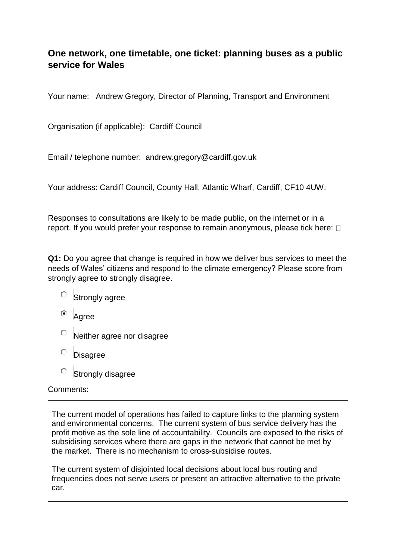# **One network, one timetable, one ticket: planning buses as a public service for Wales**

Your name: Andrew Gregory, Director of Planning, Transport and Environment

Organisation (if applicable): Cardiff Council

Email / telephone number: andrew.gregory@cardiff.gov.uk

Your address: Cardiff Council, County Hall, Atlantic Wharf, Cardiff, CF10 4UW.

Responses to consultations are likely to be made public, on the internet or in a report. If you would prefer your response to remain anonymous, please tick here:  $\Box$ 

**Q1:** Do you agree that change is required in how we deliver bus services to meet the needs of Wales' citizens and respond to the climate emergency? Please score from strongly agree to strongly disagree.

- $\circ$  Strongly agree
- <sup>o</sup> Agree
- Neither agree nor disagree
- О. Disagree
- $\circ$  Strongly disagree

#### Comments:

The current model of operations has failed to capture links to the planning system and environmental concerns. The current system of bus service delivery has the profit motive as the sole line of accountability. Councils are exposed to the risks of subsidising services where there are gaps in the network that cannot be met by the market. There is no mechanism to cross-subsidise routes.

The current system of disjointed local decisions about local bus routing and frequencies does not serve users or present an attractive alternative to the private car.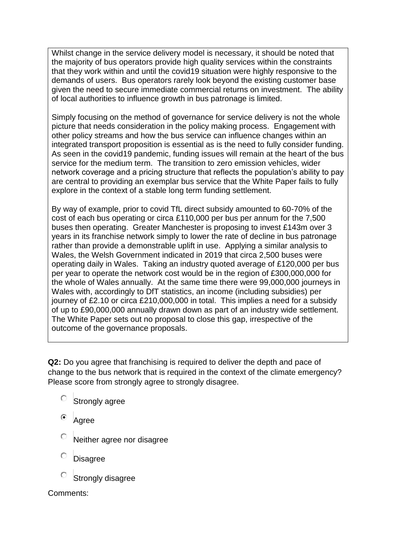Whilst change in the service delivery model is necessary, it should be noted that the majority of bus operators provide high quality services within the constraints that they work within and until the covid19 situation were highly responsive to the demands of users. Bus operators rarely look beyond the existing customer base given the need to secure immediate commercial returns on investment. The ability of local authorities to influence growth in bus patronage is limited.

Simply focusing on the method of governance for service delivery is not the whole picture that needs consideration in the policy making process. Engagement with other policy streams and how the bus service can influence changes within an integrated transport proposition is essential as is the need to fully consider funding. As seen in the covid19 pandemic, funding issues will remain at the heart of the bus service for the medium term. The transition to zero emission vehicles, wider network coverage and a pricing structure that reflects the population's ability to pay are central to providing an exemplar bus service that the White Paper fails to fully explore in the context of a stable long term funding settlement.

By way of example, prior to covid TfL direct subsidy amounted to 60-70% of the cost of each bus operating or circa £110,000 per bus per annum for the 7,500 buses then operating. Greater Manchester is proposing to invest £143m over 3 years in its franchise network simply to lower the rate of decline in bus patronage rather than provide a demonstrable uplift in use. Applying a similar analysis to Wales, the Welsh Government indicated in 2019 that circa 2,500 buses were operating daily in Wales. Taking an industry quoted average of £120,000 per bus per year to operate the network cost would be in the region of £300,000,000 for the whole of Wales annually. At the same time there were 99,000,000 journeys in Wales with, accordingly to DfT statistics, an income (including subsidies) per journey of £2.10 or circa £210,000,000 in total. This implies a need for a subsidy of up to £90,000,000 annually drawn down as part of an industry wide settlement. The White Paper sets out no proposal to close this gap, irrespective of the outcome of the governance proposals.

**Q2:** Do you agree that franchising is required to deliver the depth and pace of change to the bus network that is required in the context of the climate emergency? Please score from strongly agree to strongly disagree.

- $\circ$  Strongly agree
- Agree
- Neither agree nor disagree
- **Disagree**
- Strongly disagree

Comments: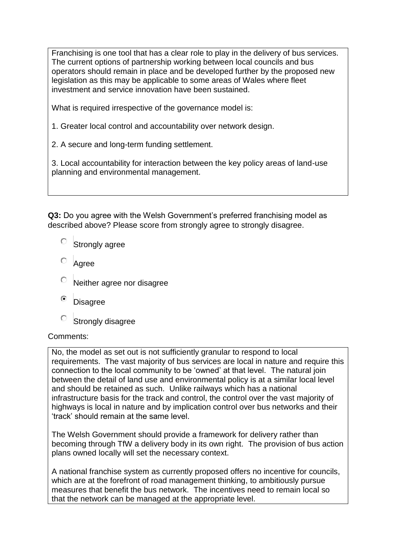Franchising is one tool that has a clear role to play in the delivery of bus services. The current options of partnership working between local councils and bus operators should remain in place and be developed further by the proposed new legislation as this may be applicable to some areas of Wales where fleet investment and service innovation have been sustained.

What is required irrespective of the governance model is:

- 1. Greater local control and accountability over network design.
- 2. A secure and long-term funding settlement.

3. Local accountability for interaction between the key policy areas of land-use planning and environmental management.

**Q3:** Do you agree with the Welsh Government's preferred franchising model as described above? Please score from strongly agree to strongly disagree.

- О. Strongly agree
- Agree
- Neither agree nor disagree
- $\odot$ Disagree
- О Strongly disagree

#### Comments:

No, the model as set out is not sufficiently granular to respond to local requirements. The vast majority of bus services are local in nature and require this connection to the local community to be 'owned' at that level. The natural join between the detail of land use and environmental policy is at a similar local level and should be retained as such. Unlike railways which has a national infrastructure basis for the track and control, the control over the vast majority of highways is local in nature and by implication control over bus networks and their 'track' should remain at the same level.

The Welsh Government should provide a framework for delivery rather than becoming through TfW a delivery body in its own right. The provision of bus action plans owned locally will set the necessary context.

A national franchise system as currently proposed offers no incentive for councils, which are at the forefront of road management thinking, to ambitiously pursue measures that benefit the bus network. The incentives need to remain local so that the network can be managed at the appropriate level.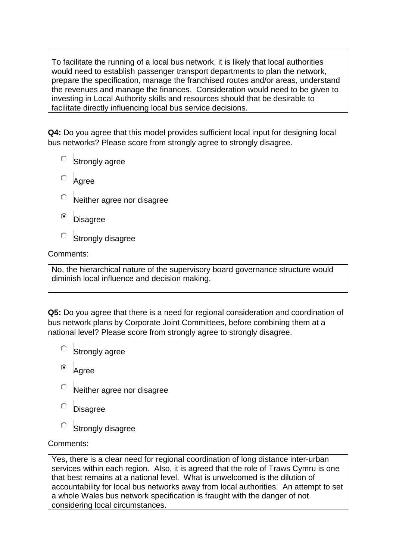To facilitate the running of a local bus network, it is likely that local authorities would need to establish passenger transport departments to plan the network, prepare the specification, manage the franchised routes and/or areas, understand the revenues and manage the finances. Consideration would need to be given to investing in Local Authority skills and resources should that be desirable to facilitate directly influencing local bus service decisions.

**Q4:** Do you agree that this model provides sufficient local input for designing local bus networks? Please score from strongly agree to strongly disagree.

- $\circ$  Strongly agree
- Agree
- Neither agree nor disagree
- **Disagree**
- О Strongly disagree

#### Comments:

No, the hierarchical nature of the supervisory board governance structure would diminish local influence and decision making.

**Q5:** Do you agree that there is a need for regional consideration and coordination of bus network plans by Corporate Joint Committees, before combining them at a national level? Please score from strongly agree to strongly disagree.

- О Strongly agree
- Agree
- Neither agree nor disagree
- **Disagree**
- О Strongly disagree

#### Comments:

Yes, there is a clear need for regional coordination of long distance inter-urban services within each region. Also, it is agreed that the role of Traws Cymru is one that best remains at a national level. What is unwelcomed is the dilution of accountability for local bus networks away from local authorities. An attempt to set a whole Wales bus network specification is fraught with the danger of not considering local circumstances.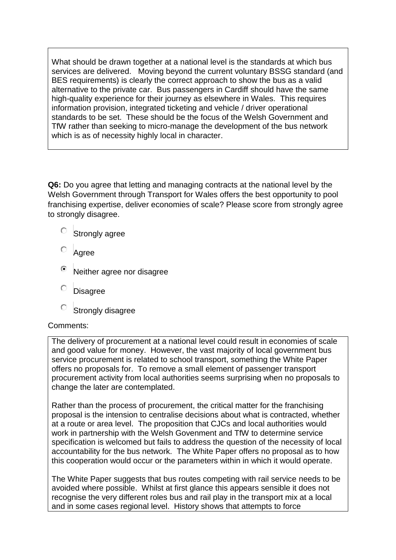What should be drawn together at a national level is the standards at which bus services are delivered. Moving beyond the current voluntary BSSG standard (and BES requirements) is clearly the correct approach to show the bus as a valid alternative to the private car. Bus passengers in Cardiff should have the same high-quality experience for their journey as elsewhere in Wales. This requires information provision, integrated ticketing and vehicle / driver operational standards to be set. These should be the focus of the Welsh Government and TfW rather than seeking to micro-manage the development of the bus network which is as of necessity highly local in character.

**Q6:** Do you agree that letting and managing contracts at the national level by the Welsh Government through Transport for Wales offers the best opportunity to pool franchising expertise, deliver economies of scale? Please score from strongly agree to strongly disagree.

- O. Strongly agree
- Agree
- Neither agree nor disagree
- Ō **Disagree**
- О Strongly disagree

#### Comments:

The delivery of procurement at a national level could result in economies of scale and good value for money. However, the vast majority of local government bus service procurement is related to school transport, something the White Paper offers no proposals for. To remove a small element of passenger transport procurement activity from local authorities seems surprising when no proposals to change the later are contemplated.

Rather than the process of procurement, the critical matter for the franchising proposal is the intension to centralise decisions about what is contracted, whether at a route or area level. The proposition that CJCs and local authorities would work in partnership with the Welsh Govenment and TfW to determine service specification is welcomed but fails to address the question of the necessity of local accountability for the bus network. The White Paper offers no proposal as to how this cooperation would occur or the parameters within in which it would operate.

The White Paper suggests that bus routes competing with rail service needs to be avoided where possible. Whilst at first glance this appears sensible it does not recognise the very different roles bus and rail play in the transport mix at a local and in some cases regional level. History shows that attempts to force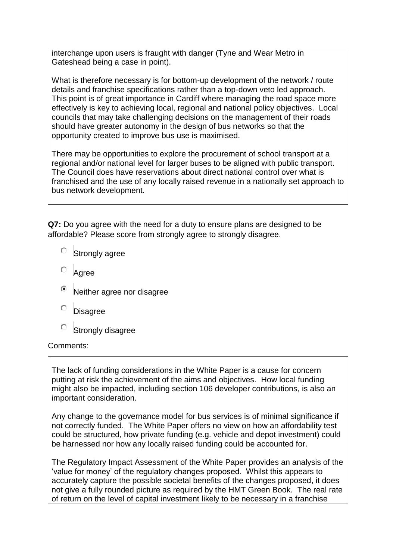interchange upon users is fraught with danger (Tyne and Wear Metro in Gateshead being a case in point).

What is therefore necessary is for bottom-up development of the network / route details and franchise specifications rather than a top-down veto led approach. This point is of great importance in Cardiff where managing the road space more effectively is key to achieving local, regional and national policy objectives. Local councils that may take challenging decisions on the management of their roads should have greater autonomy in the design of bus networks so that the opportunity created to improve bus use is maximised.

There may be opportunities to explore the procurement of school transport at a regional and/or national level for larger buses to be aligned with public transport. The Council does have reservations about direct national control over what is franchised and the use of any locally raised revenue in a nationally set approach to bus network development.

**Q7:** Do you agree with the need for a duty to ensure plans are designed to be affordable? Please score from strongly agree to strongly disagree.

- $\circ$  Strongly agree
- Agree
- Neither agree nor disagree
- Disagree
- $\bigcirc$ Strongly disagree

#### Comments:

The lack of funding considerations in the White Paper is a cause for concern putting at risk the achievement of the aims and objectives. How local funding might also be impacted, including section 106 developer contributions, is also an important consideration.

Any change to the governance model for bus services is of minimal significance if not correctly funded. The White Paper offers no view on how an affordability test could be structured, how private funding (e.g. vehicle and depot investment) could be harnessed nor how any locally raised funding could be accounted for.

The Regulatory Impact Assessment of the White Paper provides an analysis of the 'value for money' of the regulatory changes proposed. Whilst this appears to accurately capture the possible societal benefits of the changes proposed, it does not give a fully rounded picture as required by the HMT Green Book. The real rate of return on the level of capital investment likely to be necessary in a franchise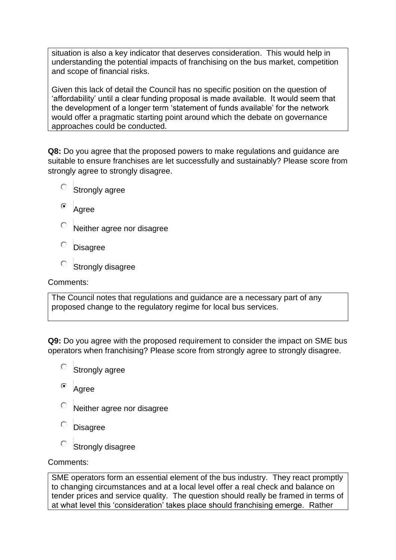situation is also a key indicator that deserves consideration. This would help in understanding the potential impacts of franchising on the bus market, competition and scope of financial risks.

Given this lack of detail the Council has no specific position on the question of 'affordability' until a clear funding proposal is made available. It would seem that the development of a longer term 'statement of funds available' for the network would offer a pragmatic starting point around which the debate on governance approaches could be conducted.

**Q8:** Do you agree that the proposed powers to make regulations and guidance are suitable to ensure franchises are let successfully and sustainably? Please score from strongly agree to strongly disagree.

- $\circ$  Strongly agree
- <sup>o</sup> Agree
- О Neither agree nor disagree
- О. **Disagree**
- Strongly disagree

Comments:

The Council notes that regulations and guidance are a necessary part of any proposed change to the regulatory regime for local bus services.

**Q9:** Do you agree with the proposed requirement to consider the impact on SME bus operators when franchising? Please score from strongly agree to strongly disagree.

- $\circ$  Strongly agree
- $\left( \widehat{\bullet }\right)$ Agree
- Neither agree nor disagree
- Disagree
- Strongly disagree

## Comments:

SME operators form an essential element of the bus industry. They react promptly to changing circumstances and at a local level offer a real check and balance on tender prices and service quality. The question should really be framed in terms of at what level this 'consideration' takes place should franchising emerge. Rather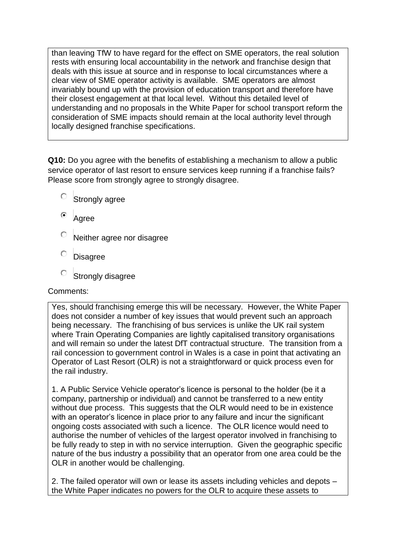than leaving TfW to have regard for the effect on SME operators, the real solution rests with ensuring local accountability in the network and franchise design that deals with this issue at source and in response to local circumstances where a clear view of SME operator activity is available. SME operators are almost invariably bound up with the provision of education transport and therefore have their closest engagement at that local level. Without this detailed level of understanding and no proposals in the White Paper for school transport reform the consideration of SME impacts should remain at the local authority level through locally designed franchise specifications.

**Q10:** Do you agree with the benefits of establishing a mechanism to allow a public service operator of last resort to ensure services keep running if a franchise fails? Please score from strongly agree to strongly disagree.

- O Strongly agree
- Agree
- Neither agree nor disagree
- Disagree
- Strongly disagree

## Comments:

Yes, should franchising emerge this will be necessary. However, the White Paper does not consider a number of key issues that would prevent such an approach being necessary. The franchising of bus services is unlike the UK rail system where Train Operating Companies are lightly capitalised transitory organisations and will remain so under the latest DfT contractual structure. The transition from a rail concession to government control in Wales is a case in point that activating an Operator of Last Resort (OLR) is not a straightforward or quick process even for the rail industry.

1. A Public Service Vehicle operator's licence is personal to the holder (be it a company, partnership or individual) and cannot be transferred to a new entity without due process. This suggests that the OLR would need to be in existence with an operator's licence in place prior to any failure and incur the significant ongoing costs associated with such a licence. The OLR licence would need to authorise the number of vehicles of the largest operator involved in franchising to be fully ready to step in with no service interruption. Given the geographic specific nature of the bus industry a possibility that an operator from one area could be the OLR in another would be challenging.

2. The failed operator will own or lease its assets including vehicles and depots – the White Paper indicates no powers for the OLR to acquire these assets to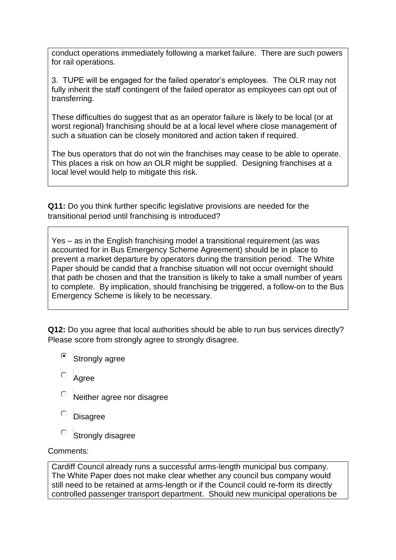conduct operations immediately following a market failure. There are such powers for rail operations.

3. TUPE will be engaged for the failed operator's employees. The OLR may not fully inherit the staff contingent of the failed operator as employees can opt out of transferring.

These difficulties do suggest that as an operator failure is likely to be local (or at worst regional) franchising should be at a local level where close management of such a situation can be closely monitored and action taken if required.

The bus operators that do not win the franchises may cease to be able to operate. This places a risk on how an OLR might be supplied. Designing franchises at a local level would help to mitigate this risk.

**Q11:** Do you think further specific legislative provisions are needed for the transitional period until franchising is introduced?

Yes – as in the English franchising model a transitional requirement (as was accounted for in Bus Emergency Scheme Agreement) should be in place to prevent a market departure by operators during the transition period. The White Paper should be candid that a franchise situation will not occur overnight should that path be chosen and that the transition is likely to take a small number of years to complete. By implication, should franchising be triggered, a follow-on to the Bus Emergency Scheme is likely to be necessary.

**Q12:** Do you agree that local authorities should be able to run bus services directly? Please score from strongly agree to strongly disagree.

- Strongly agree
- Agree
- Neither agree nor disagree
- Disagree
- $\circ$ Strongly disagree

Comments:

Cardiff Council already runs a successful arms-length municipal bus company. The White Paper does not make clear whether any council bus company would still need to be retained at arms-length or if the Council could re-form its directly controlled passenger transport department. Should new municipal operations be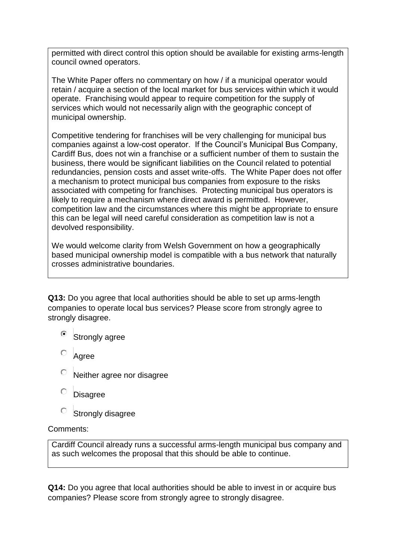permitted with direct control this option should be available for existing arms-length council owned operators.

The White Paper offers no commentary on how / if a municipal operator would retain / acquire a section of the local market for bus services within which it would operate. Franchising would appear to require competition for the supply of services which would not necessarily align with the geographic concept of municipal ownership.

Competitive tendering for franchises will be very challenging for municipal bus companies against a low-cost operator. If the Council's Municipal Bus Company, Cardiff Bus, does not win a franchise or a sufficient number of them to sustain the business, there would be significant liabilities on the Council related to potential redundancies, pension costs and asset write-offs. The White Paper does not offer a mechanism to protect municipal bus companies from exposure to the risks associated with competing for franchises. Protecting municipal bus operators is likely to require a mechanism where direct award is permitted. However, competition law and the circumstances where this might be appropriate to ensure this can be legal will need careful consideration as competition law is not a devolved responsibility.

We would welcome clarity from Welsh Government on how a geographically based municipal ownership model is compatible with a bus network that naturally crosses administrative boundaries.

**Q13:** Do you agree that local authorities should be able to set up arms-length companies to operate local bus services? Please score from strongly agree to strongly disagree.

- <sup>®</sup> Strongly agree
- Agree
- Neither agree nor disagree
- Disagree
- О Strongly disagree

## Comments:

Cardiff Council already runs a successful arms-length municipal bus company and as such welcomes the proposal that this should be able to continue.

**Q14:** Do you agree that local authorities should be able to invest in or acquire bus companies? Please score from strongly agree to strongly disagree.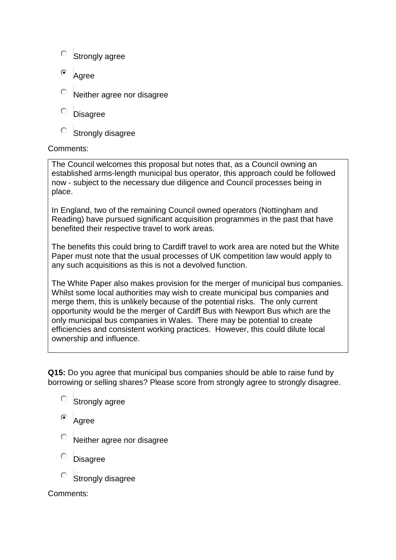- $\circ$  Strongly agree
- $\odot$ Agree
- Neither agree nor disagree
- О **Disagree**
- О Strongly disagree

### Comments:

The Council welcomes this proposal but notes that, as a Council owning an established arms-length municipal bus operator, this approach could be followed now - subject to the necessary due diligence and Council processes being in place.

In England, two of the remaining Council owned operators (Nottingham and Reading) have pursued significant acquisition programmes in the past that have benefited their respective travel to work areas.

The benefits this could bring to Cardiff travel to work area are noted but the White Paper must note that the usual processes of UK competition law would apply to any such acquisitions as this is not a devolved function.

The White Paper also makes provision for the merger of municipal bus companies. Whilst some local authorities may wish to create municipal bus companies and merge them, this is unlikely because of the potential risks. The only current opportunity would be the merger of Cardiff Bus with Newport Bus which are the only municipal bus companies in Wales. There may be potential to create efficiencies and consistent working practices. However, this could dilute local ownership and influence.

**Q15:** Do you agree that municipal bus companies should be able to raise fund by borrowing or selling shares? Please score from strongly agree to strongly disagree.

- Ō Strongly agree
- Agree
- Neither agree nor disagree
- **Disagree**
- Strongly disagree

Comments: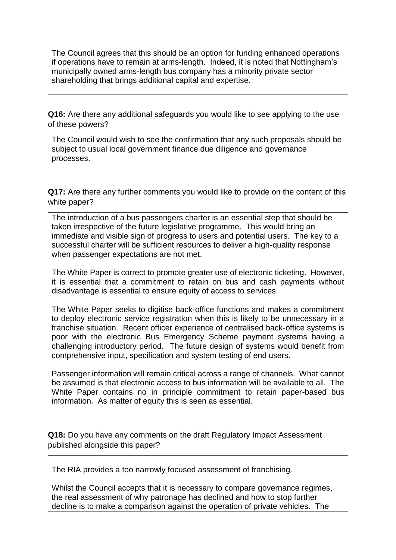The Council agrees that this should be an option for funding enhanced operations if operations have to remain at arms-length. Indeed, it is noted that Nottingham's municipally owned arms-length bus company has a minority private sector shareholding that brings additional capital and expertise.

**Q16:** Are there any additional safeguards you would like to see applying to the use of these powers?

The Council would wish to see the confirmation that any such proposals should be subject to usual local government finance due diligence and governance processes.

**Q17:** Are there any further comments you would like to provide on the content of this white paper?

The introduction of a bus passengers charter is an essential step that should be taken irrespective of the future legislative programme. This would bring an immediate and visible sign of progress to users and potential users. The key to a successful charter will be sufficient resources to deliver a high-quality response when passenger expectations are not met.

The White Paper is correct to promote greater use of electronic ticketing. However, it is essential that a commitment to retain on bus and cash payments without disadvantage is essential to ensure equity of access to services.

The White Paper seeks to digitise back-office functions and makes a commitment to deploy electronic service registration when this is likely to be unnecessary in a franchise situation. Recent officer experience of centralised back-office systems is poor with the electronic Bus Emergency Scheme payment systems having a challenging introductory period. The future design of systems would benefit from comprehensive input, specification and system testing of end users.

Passenger information will remain critical across a range of channels. What cannot be assumed is that electronic access to bus information will be available to all. The White Paper contains no in principle commitment to retain paper-based bus information. As matter of equity this is seen as essential.

**Q18:** Do you have any comments on the draft Regulatory Impact Assessment published alongside this paper?

The RIA provides a too narrowly focused assessment of franchising.

Whilst the Council accepts that it is necessary to compare governance regimes, the real assessment of why patronage has declined and how to stop further decline is to make a comparison against the operation of private vehicles. The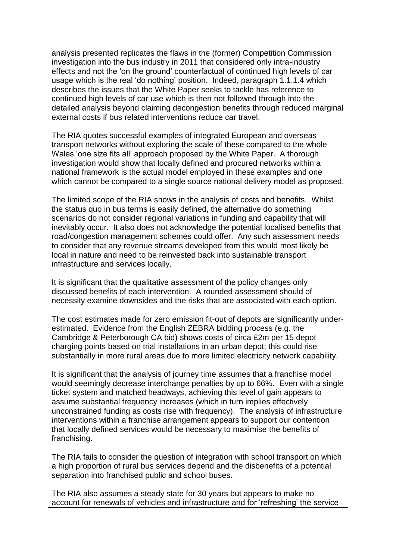analysis presented replicates the flaws in the (former) Competition Commission investigation into the bus industry in 2011 that considered only intra-industry effects and not the 'on the ground' counterfactual of continued high levels of car usage which is the real 'do nothing' position. Indeed, paragraph 1.1.1.4 which describes the issues that the White Paper seeks to tackle has reference to continued high levels of car use which is then not followed through into the detailed analysis beyond claiming decongestion benefits through reduced marginal external costs if bus related interventions reduce car travel.

The RIA quotes successful examples of integrated European and overseas transport networks without exploring the scale of these compared to the whole Wales 'one size fits all' approach proposed by the White Paper. A thorough investigation would show that locally defined and procured networks within a national framework is the actual model employed in these examples and one which cannot be compared to a single source national delivery model as proposed.

The limited scope of the RIA shows in the analysis of costs and benefits. Whilst the status quo in bus terms is easily defined, the alternative do something scenarios do not consider regional variations in funding and capability that will inevitably occur. It also does not acknowledge the potential localised benefits that road/congestion management schemes could offer. Any such assessment needs to consider that any revenue streams developed from this would most likely be local in nature and need to be reinvested back into sustainable transport infrastructure and services locally.

It is significant that the qualitative assessment of the policy changes only discussed benefits of each intervention. A rounded assessment should of necessity examine downsides and the risks that are associated with each option.

The cost estimates made for zero emission fit-out of depots are significantly underestimated. Evidence from the English ZEBRA bidding process (e.g. the Cambridge & Peterborough CA bid) shows costs of circa £2m per 15 depot charging points based on trial installations in an urban depot; this could rise substantially in more rural areas due to more limited electricity network capability.

It is significant that the analysis of journey time assumes that a franchise model would seemingly decrease interchange penalties by up to 66%. Even with a single ticket system and matched headways, achieving this level of gain appears to assume substantial frequency increases (which in turn implies effectively unconstrained funding as costs rise with frequency). The analysis of infrastructure interventions within a franchise arrangement appears to support our contention that locally defined services would be necessary to maximise the benefits of franchising.

The RIA fails to consider the question of integration with school transport on which a high proportion of rural bus services depend and the disbenefits of a potential separation into franchised public and school buses.

The RIA also assumes a steady state for 30 years but appears to make no account for renewals of vehicles and infrastructure and for 'refreshing' the service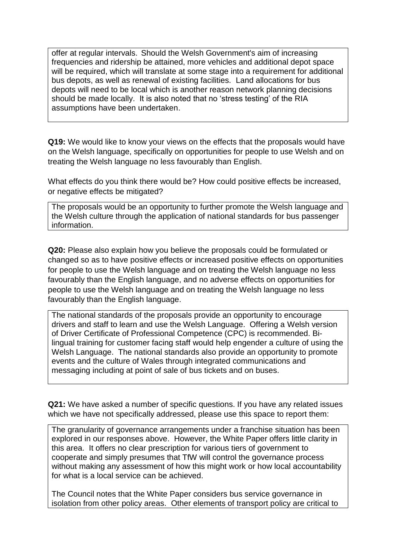offer at regular intervals. Should the Welsh Government's aim of increasing frequencies and ridership be attained, more vehicles and additional depot space will be required, which will translate at some stage into a requirement for additional bus depots, as well as renewal of existing facilities. Land allocations for bus depots will need to be local which is another reason network planning decisions should be made locally. It is also noted that no 'stress testing' of the RIA assumptions have been undertaken.

**Q19:** We would like to know your views on the effects that the proposals would have on the Welsh language, specifically on opportunities for people to use Welsh and on treating the Welsh language no less favourably than English.

What effects do you think there would be? How could positive effects be increased, or negative effects be mitigated?

The proposals would be an opportunity to further promote the Welsh language and the Welsh culture through the application of national standards for bus passenger information.

**Q20:** Please also explain how you believe the proposals could be formulated or changed so as to have positive effects or increased positive effects on opportunities for people to use the Welsh language and on treating the Welsh language no less favourably than the English language, and no adverse effects on opportunities for people to use the Welsh language and on treating the Welsh language no less favourably than the English language.

The national standards of the proposals provide an opportunity to encourage drivers and staff to learn and use the Welsh Language. Offering a Welsh version of Driver Certificate of Professional Competence (CPC) is recommended. Bilingual training for customer facing staff would help engender a culture of using the Welsh Language. The national standards also provide an opportunity to promote events and the culture of Wales through integrated communications and messaging including at point of sale of bus tickets and on buses.

**Q21:** We have asked a number of specific questions. If you have any related issues which we have not specifically addressed, please use this space to report them:

The granularity of governance arrangements under a franchise situation has been explored in our responses above. However, the White Paper offers little clarity in this area. It offers no clear prescription for various tiers of government to cooperate and simply presumes that TfW will control the governance process without making any assessment of how this might work or how local accountability for what is a local service can be achieved.

The Council notes that the White Paper considers bus service governance in isolation from other policy areas. Other elements of transport policy are critical to